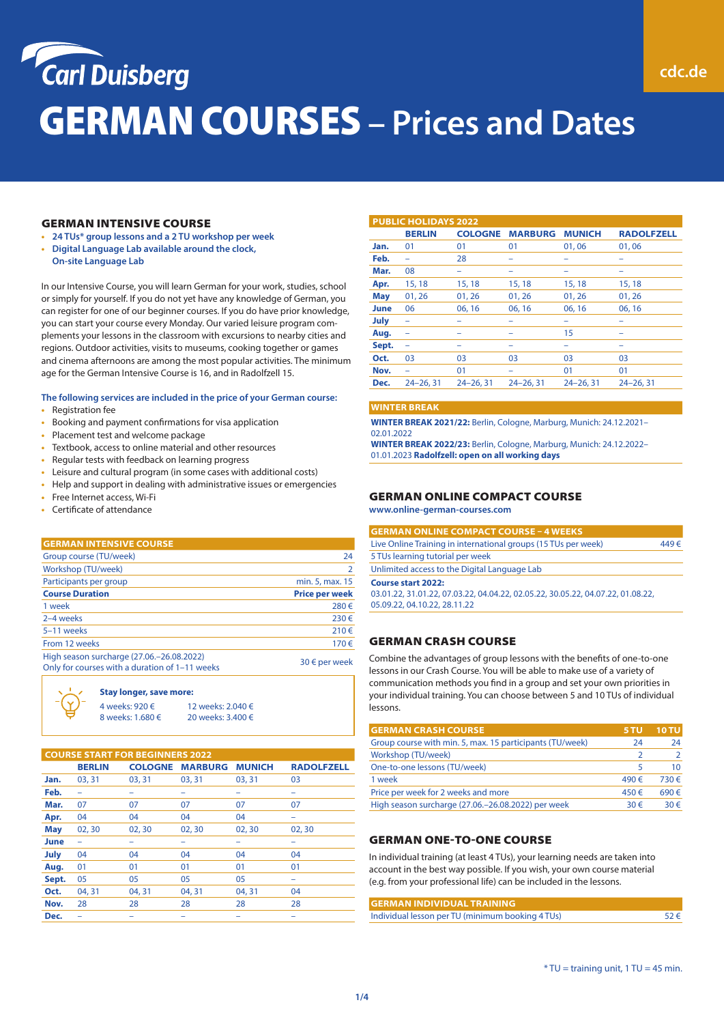

### GERMAN INTENSIVE COURSE

- **• 24 TUs\* group lessons and a 2 TU workshop per week**
- **• Digital Language Lab available around the clock, On-site Language Lab**

In our Intensive Course, you will learn German for your work, studies, school or simply for yourself. If you do not yet have any knowledge of German, you can register for one of our beginner courses. If you do have prior knowledge, you can start your course every Monday. Our varied leisure program complements your lessons in the classroom with excursions to nearby cities and regions. Outdoor activities, visits to museums, cooking together or games and cinema afternoons are among the most popular activities. The minimum age for the German Intensive Course is 16, and in Radolfzell 15.

#### **The following services are included in the price of your German course:**

- **•** Registration fee
- **•** Booking and payment confirmations for visa application
- **•** Placement test and welcome package
- **•** Textbook, access to online material and other resources
- **•** Regular tests with feedback on learning progress
- **•** Leisure and cultural program (in some cases with additional costs)
- **•** Help and support in dealing with administrative issues or emergencies
- **•** Free Internet access, Wi-Fi
- **•** Certificate of attendance

#### **GERMAN INTENSIVE COURSE**

| Group course (TU/week)                                                                      | 24                    |
|---------------------------------------------------------------------------------------------|-----------------------|
| Workshop (TU/week)                                                                          | $\mathcal{L}$         |
| Participants per group                                                                      | min. 5, max. 15       |
| <b>Course Duration</b>                                                                      | <b>Price per week</b> |
| 1 week                                                                                      | 280€                  |
| 2-4 weeks                                                                                   | 230€                  |
| 5-11 weeks                                                                                  | 210€                  |
| From 12 weeks                                                                               | 170€                  |
| High season surcharge (27.06.-26.08.2022)<br>Only for courses with a duration of 1-11 weeks | $30 \in$ per week     |
|                                                                                             |                       |

#### **Stay longer, save more:**

| 4 weeks: 920 €   | 12 weeks: 2.040 € |
|------------------|-------------------|
| 8 weeks: 1.680 € | 20 weeks: 3.400 € |

| <b>COURSE START FOR BEGINNERS 2022</b> |               |                |                |               |                   |  |
|----------------------------------------|---------------|----------------|----------------|---------------|-------------------|--|
|                                        | <b>BERLIN</b> | <b>COLOGNE</b> | <b>MARBURG</b> | <b>MUNICH</b> | <b>RADOLFZELL</b> |  |
| Jan.                                   | 03, 31        | 03, 31         | 03.31          | 03, 31        | 03                |  |
| Feb.                                   | -             | -              | -              | -             | -                 |  |
| Mar.                                   | 07            | 07             | 07             | 07            | 07                |  |
| Apr.                                   | 04            | 04             | 04             | 04            | -                 |  |
| <b>May</b>                             | 02, 30        | 02, 30         | 02, 30         | 02,30         | 02, 30            |  |
| June                                   |               |                |                | -             |                   |  |
| July                                   | 04            | 04             | 04             | 04            | 04                |  |
| Aug.                                   | 01            | 01             | 01             | 01            | 01                |  |
| Sept.                                  | 05            | 05             | 05             | 05            |                   |  |
| Oct.                                   | 04, 31        | 04, 31         | 04, 31         | 04.31         | 04                |  |
| Nov.                                   | 28            | 28             | 28             | 28            | 28                |  |
| Dec.                                   |               |                |                |               |                   |  |

| <b>PUBLIC HOLIDAYS 2022</b> |                          |                |                |               |                   |  |
|-----------------------------|--------------------------|----------------|----------------|---------------|-------------------|--|
|                             | <b>BERLIN</b>            | <b>COLOGNE</b> | <b>MARBURG</b> | <b>MUNICH</b> | <b>RADOLFZELL</b> |  |
| Jan.                        | 01                       | 01             | 01             | 01,06         | 01,06             |  |
| Feb.                        |                          | 28             | -              | -             | -                 |  |
| Mar.                        | 08                       | -              |                |               |                   |  |
| Apr.                        | 15, 18                   | 15, 18         | 15, 18         | 15, 18        | 15, 18            |  |
| <b>May</b>                  | 01, 26                   | 01, 26         | 01, 26         | 01, 26        | 01, 26            |  |
| June                        | 06                       | 06, 16         | 06, 16         | 06, 16        | 06, 16            |  |
| July                        | ۰                        | -              |                |               | -                 |  |
| Aug.                        | -                        |                |                | 15            |                   |  |
| Sept.                       | $\overline{\phantom{0}}$ | -              |                |               |                   |  |
| Oct.                        | 03                       | 03             | 03             | 03            | 03                |  |
| Nov.                        |                          | 01             |                | 01            | 01                |  |
| Dec.                        | $24 - 26.31$             | $24 - 26, 31$  | $24 - 26.31$   | $24 - 26.31$  | $24 - 26.31$      |  |

#### **WINTER BREAK**

**WINTER BREAK 2021/22:** Berlin, Cologne, Marburg, Munich: 24.12.2021– 02.01.2022

**WINTER BREAK 2022/23:** Berlin, Cologne, Marburg, Munich: 24.12.2022– 01.01.2023 **Radolfzell: open on all working days**

## GERMAN ONLINE COMPACT COURSE

**www.online-german-courses.com**

| <b>GERMAN ONLINE COMPACT COURSE - 4 WEEKS</b>                                   |      |
|---------------------------------------------------------------------------------|------|
| Live Online Training in international groups (15 TUs per week)                  | 449€ |
| 5 TUs learning tutorial per week                                                |      |
| Unlimited access to the Digital Language Lab                                    |      |
| <b>Course start 2022:</b>                                                       |      |
| 03.01.22, 31.01.22, 07.03.22, 04.04.22, 02.05.22, 30.05.22, 04.07.22, 01.08.22, |      |
| 05.09.22, 04.10.22, 28.11.22                                                    |      |
|                                                                                 |      |

### GERMAN CRASH COURSE

Combine the advantages of group lessons with the benefits of one-to-one lessons in our Crash Course. You will be able to make use of a variety of communication methods you find in a group and set your own priorities in your individual training. You can choose between 5 and 10 TUs of individual lessons.

| <b>GERMAN CRASH COURSE</b>                               | <b>5 TU</b>   | <b>10 TU</b> |
|----------------------------------------------------------|---------------|--------------|
| Group course with min. 5, max. 15 participants (TU/week) | 24            | 24           |
| Workshop (TU/week)                                       |               |              |
| One-to-one lessons (TU/week)                             |               | 10           |
| 1 week                                                   | 490€          | $730 \in$    |
| Price per week for 2 weeks and more                      | 450€          | 690€         |
| High season surcharge (27.06.-26.08.2022) per week       | 30 $\epsilon$ | $30 \in$     |

#### GERMAN ONE-TO-ONE COURSE

In individual training (at least 4 TUs), your learning needs are taken into account in the best way possible. If you wish, your own course material (e.g. from your professional life) can be included in the lessons.

|  | <b>GERMAN INDIVIDUAL TRAINING</b>                |          |
|--|--------------------------------------------------|----------|
|  | Individual lesson per TU (minimum booking 4 TUs) | $52 \in$ |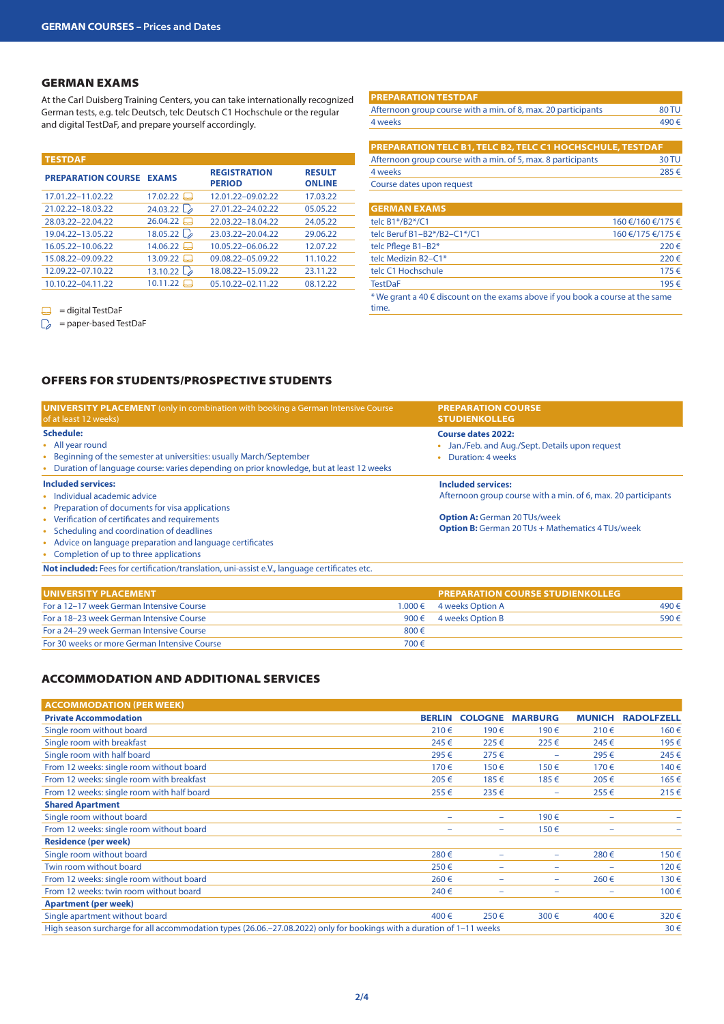## GERMAN EXAMS

At the Carl Duisberg Training Centers, you can take internationally recognized German tests, e.g. telc Deutsch, telc Deutsch C1 Hochschule or the regular and digital TestDaF, and prepare yourself accordingly.

| <b>TESTDAF</b>            |                            |                                      |                                |
|---------------------------|----------------------------|--------------------------------------|--------------------------------|
| <b>PREPARATION COURSE</b> | <b>EXAMS</b>               | <b>REGISTRATION</b><br><b>PERIOD</b> | <b>RESULT</b><br><b>ONLINE</b> |
| 17.01.22-11.02.22         | 17.02.22                   | 12.01.22-09.02.22                    | 17.03.22                       |
| 21.02.22-18.03.22         | 24.03.22 $\mathcal{L}_{2}$ | 27.01.22-24.02.22                    | 05.05.22                       |
| 28.03.22-22.04.22         | 26.04.22                   | 22.03.22-18.04.22                    | 24.05.22                       |
| 19.04.22-13.05.22         | 18.05.22 $\mathcal{L}_{2}$ | 23.03.22-20.04.22                    | 29.06.22                       |
| 16.05.22-10.06.22         | 14.06.22                   | 10.05.22-06.06.22                    | 12.07.22                       |
| 15.08.22-09.09.22         | $13.09.22$ $\Box$          | 09.08.22-05.09.22                    | 11.10.22                       |
| 12.09.22-07.10.22         | 13.10.22 $\mathcal{L}_e$   | 18.08.22-15.09.22                    | 23.11.22                       |
| 10.10.22-04.11.22         | $10.11.22$ $\Box$          | 05.10.22-02.11.22                    | 08.12.22                       |

 $\Box$  = digital TestDaF

 $\Box$  = paper-based TestDaF

| <b>PREPARATION TESTDAF</b>                                    |                   |
|---------------------------------------------------------------|-------------------|
| Afternoon group course with a min. of 8, max. 20 participants | 80 TU             |
| 4 weeks                                                       | 490€              |
|                                                               |                   |
| PREPARATION TELC B1, TELC B2, TELC C1 HOCHSCHULE, TESTDAF     |                   |
| Afternoon group course with a min. of 5, max. 8 participants  | 30 TU             |
| 4 weeks                                                       | 285€              |
| Course dates upon request                                     |                   |
|                                                               |                   |
| <b>GERMAN EXAMS</b>                                           |                   |
| telc B1*/B2*/C1                                               | 160 €/160 €/175 € |

| telc B1*/B2*/C1                                                                             | 160 €/160 €/175 € |
|---------------------------------------------------------------------------------------------|-------------------|
| telc Beruf B1-B2*/B2-C1*/C1                                                                 | 160 €/175 €/175 € |
| telc Pflege B1-B2*                                                                          | 220€              |
| telc Medizin B2-C1*                                                                         | 220€              |
| telc C1 Hochschule                                                                          | $175 \in$         |
| <b>TestDaF</b>                                                                              | 195€              |
| * We grant a 40 $\in$ discount on the exams above if you book a course at the same<br>time. |                   |

# OFFERS FOR STUDENTS/PROSPECTIVE STUDENTS

| <b>UNIVERSITY PLACEMENT</b> (only in combination with booking a German Intensive Course<br>of at least 12 weeks)                                                                                                | <b>PREPARATION COURSE</b><br><b>STUDIENKOLLEG</b>                                              |
|-----------------------------------------------------------------------------------------------------------------------------------------------------------------------------------------------------------------|------------------------------------------------------------------------------------------------|
| <b>Schedule:</b><br>• All year round<br>Beginning of the semester at universities: usually March/September<br>٠<br>Duration of language course: varies depending on prior knowledge, but at least 12 weeks<br>٠ | Course dates 2022:<br>Jan./Feb. and Aug./Sept. Details upon request<br>Duration: 4 weeks       |
| Included services:<br>Individual academic advice<br>Preparation of documents for visa applications                                                                                                              | Included services:<br>Afternoon group course with a min. of 6, max. 20 participants            |
| • Verification of certificates and requirements<br>• Scheduling and coordination of deadlines<br>Advice on language preparation and language certificates<br>٠<br>• Completion of up to three applications      | <b>Option A: German 20 TUs/week</b><br><b>Option B:</b> German 20 TUs + Mathematics 4 TUs/week |
| <b>Not included:</b> Fees for certification/translation, uni-assist e.V., language certificates etc.                                                                                                            |                                                                                                |

| <b>LUNIVERSITY PLACEMENT</b>                 |           | <b>PREPARATION COURSE STUDIENKOLLEG</b> |      |
|----------------------------------------------|-----------|-----------------------------------------|------|
| For a 12–17 week German Intensive Course     |           | $1.000 \in 4$ weeks Option A            | 490€ |
| For a 18-23 week German Intensive Course     |           | 900 $\epsilon$ 4 weeks Option B         | 590€ |
| For a 24–29 week German Intensive Course     | $800 \in$ |                                         |      |
| For 30 weeks or more German Intensive Course | 700€      |                                         |      |

# ACCOMMODATION AND ADDITIONAL SERVICES

| <b>ACCOMMODATION (PER WEEK)</b>                                                                                       |               |                |                |               |                   |
|-----------------------------------------------------------------------------------------------------------------------|---------------|----------------|----------------|---------------|-------------------|
| <b>Private Accommodation</b>                                                                                          | <b>BERLIN</b> | <b>COLOGNE</b> | <b>MARBURG</b> | <b>MUNICH</b> | <b>RADOLFZELL</b> |
| Single room without board                                                                                             | 210€          | 190€           | 190€           | 210€          | 160€              |
| Single room with breakfast                                                                                            | 245€          | 225€           | 225€           | 245€          | 195€              |
| Single room with half board                                                                                           | 295€          | $275 \in$      | ۰              | 295€          | 245€              |
| From 12 weeks: single room without board                                                                              | 170€          | 150€           | 150€           | 170€          | 140€              |
| From 12 weeks: single room with breakfast                                                                             | 205€          | 185€           | 185€           | 205€          | 165€              |
| From 12 weeks: single room with half board                                                                            | 255€          | $235 \in$      | -              | 255€          | $215 \in$         |
| <b>Shared Apartment</b>                                                                                               |               |                |                |               |                   |
| Single room without board                                                                                             | -             | ۰              | 190€           | -             |                   |
| From 12 weeks: single room without board                                                                              | ۰             | ۰              | 150€           | ۰             |                   |
| <b>Residence (per week)</b>                                                                                           |               |                |                |               |                   |
| Single room without board                                                                                             | 280€          |                | -              | 280€          | 150€              |
| Twin room without board                                                                                               | 250€          | ۰              | -              | ۰             | 120€              |
| From 12 weeks: single room without board                                                                              | 260€          | ٠              | -              | 260€          | 130€              |
| From 12 weeks: twin room without board                                                                                | 240€          |                | -              | -             | 100€              |
| <b>Apartment (per week)</b>                                                                                           |               |                |                |               |                   |
| Single apartment without board                                                                                        | 400€          | 250€           | 300€           | 400€          | 320€              |
| High season surcharge for all accommodation types (26.06.–27.08.2022) only for bookings with a duration of 1–11 weeks |               |                |                |               |                   |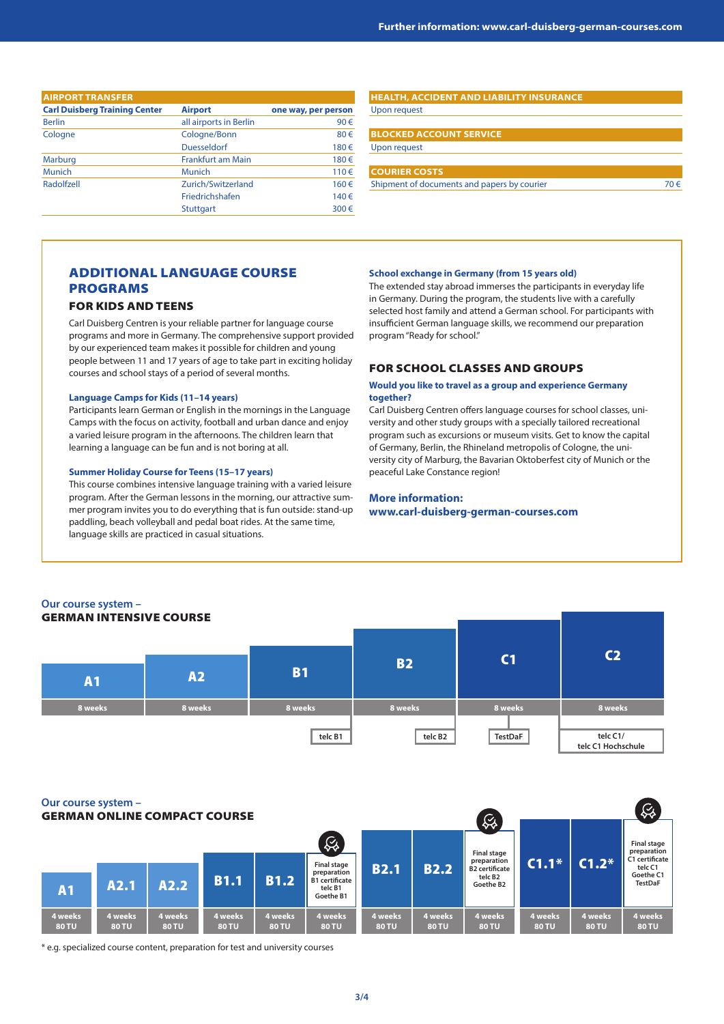| <b>AIRPORT TRANSFER</b>              |                          |                     |  |  |  |  |
|--------------------------------------|--------------------------|---------------------|--|--|--|--|
| <b>Carl Duisberg Training Center</b> | <b>Airport</b>           | one way, per person |  |  |  |  |
| <b>Berlin</b>                        | all airports in Berlin   | 90€                 |  |  |  |  |
| Cologne                              | Cologne/Bonn             | 80€                 |  |  |  |  |
|                                      | <b>Duesseldorf</b>       | 180€                |  |  |  |  |
| <b>Marburg</b>                       | <b>Frankfurt am Main</b> | 180€                |  |  |  |  |
| <b>Munich</b>                        | <b>Munich</b>            | 110€                |  |  |  |  |
| Radolfzell                           | Zurich/Switzerland       | 160€                |  |  |  |  |
|                                      | Friedrichshafen          | 140€                |  |  |  |  |
|                                      | <b>Stuttgart</b>         | 300€                |  |  |  |  |

### **HEALTH, ACCIDENT AND LIABILITY INSURANCE**

Upon request

### **BLOCKED ACCOUNT SERVICE** Upon request

## **COURIER COSTS**

Shipment of documents and papers by courier  $70 \in$ 

# ADDITIONAL LANGUAGE COURSE PROGRAMS

### FOR KIDS AND TEENS

Carl Duisberg Centren is your reliable partner for language course programs and more in Germany. The comprehensive support provided by our experienced team makes it possible for children and young people between 11 and 17 years of age to take part in exciting holiday courses and school stays of a period of several months.

### **Language Camps for Kids (11–14 years)**

Participants learn German or English in the mornings in the Language Camps with the focus on activity, football and urban dance and enjoy a varied leisure program in the afternoons. The children learn that learning a language can be fun and is not boring at all.

### **Summer Holiday Course for Teens (15–17 years)**

This course combines intensive language training with a varied leisure program. After the German lessons in the morning, our attractive summer program invites you to do everything that is fun outside: stand-up paddling, beach volleyball and pedal boat rides. At the same time, language skills are practiced in casual situations.

### **School exchange in Germany (from 15 years old)**

The extended stay abroad immerses the participants in everyday life in Germany. During the program, the students live with a carefully selected host family and attend a German school. For participants with insufficient German language skills, we recommend our preparation program "Ready for school."

### FOR SCHOOL CLASSES AND GROUPS

#### **Would you like to travel as a group and experience Germany together?**

Carl Duisberg Centren offers language courses for school classes, university and other study groups with a specially tailored recreational program such as excursions or museum visits. Get to know the capital of Germany, Berlin, the Rhineland metropolis of Cologne, the university city of Marburg, the Bavarian Oktoberfest city of Munich or the peaceful Lake Constance region!

## **More information: www.carl-duisberg-german-courses.com**

| Our course system -<br><b>GERMAN INTENSIVE COURSE</b> |           |           |           |                |                                |
|-------------------------------------------------------|-----------|-----------|-----------|----------------|--------------------------------|
| <b>A1</b>                                             | <b>A2</b> | <b>B1</b> | <b>B2</b> | C <sub>1</sub> | C <sub>2</sub>                 |
| 8 weeks                                               | 8 weeks   | 8 weeks   | 8 weeks   | 8 weeks        | 8 weeks                        |
|                                                       |           | telc B1   | telc B2   | <b>TestDaF</b> | telc C1/<br>telc C1 Hochschule |

#### **Our course system –**

 $\varnothing$ GERMAN ONLINE COMPACT COURSE $\overline{C}$  $\mathcal{Q}_4$ **Final stage Final stage preparation C1 certificate B2.1 B2.2**  $\left| \frac{\text{preparation}}{\text{B2.2}} \right|$  **C1.1\* C1.2\* preparation Final stage telc C1 B2 certificate preparation B1 certificate Goethe C1 telc B2 TestDaF A2.1 A2.2 B1.1 B1.2 B1.2 Execution Coether C Coether C Coether C Coether C Coether C Coether C Coether C Coether C Coether C Coether C Coether C Coether C Coether C Coethe** A2.2 **Goethe B2 telc B1 Goethe B1 4 weeks 4 weeks 4 weeks 4 weeks 4 weeks 4 weeks 4 weeks 4 weeks 4 weeks 4 weeks 4 weeks 4 weeks 80 TU 80 TU 80 TU 80 TU 80 TU 80 TU 80 TU 80 TU 80 TU 80 TU 80 TU 80 TU**

\* e.g. specialized course content, preparation for test and university courses